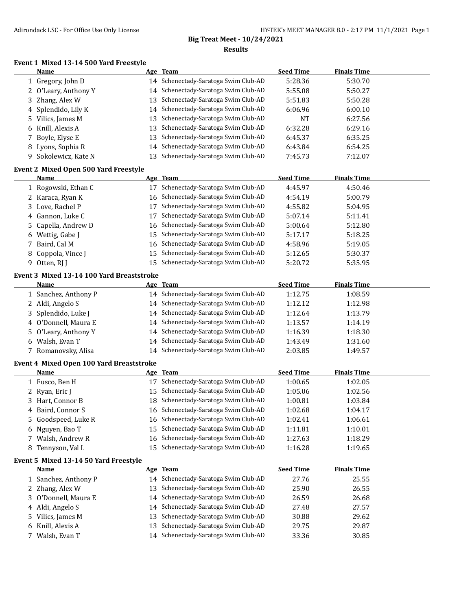# **Big Treat Meet - 10/24/2021**

### **Results**

#### **Event 1 Mixed 13-14 500 Yard Freestyle**

|        | Event 1 Mixed 13-14 500 Yard Freestyle<br><b>Name</b> |          |                                                                           | <b>Seed Time</b> | <b>Finals Time</b> |
|--------|-------------------------------------------------------|----------|---------------------------------------------------------------------------|------------------|--------------------|
|        |                                                       |          | Age Team                                                                  |                  |                    |
|        | 1 Gregory, John D                                     |          | 14 Schenectady-Saratoga Swim Club-AD<br>Schenectady-Saratoga Swim Club-AD | 5:28.36          | 5:30.70            |
|        | 2 O'Leary, Anthony Y                                  | 14       |                                                                           | 5:55.08          | 5:50.27            |
|        | 3 Zhang, Alex W                                       | 13       | Schenectady-Saratoga Swim Club-AD                                         | 5:51.83          | 5:50.28            |
|        | 4 Splendido, Lily K                                   | 14       | Schenectady-Saratoga Swim Club-AD                                         | 6:06.96          | 6:00.10            |
| 5      | Vilics, James M                                       | 13       | Schenectady-Saratoga Swim Club-AD                                         | NT               | 6:27.56            |
| 6      | Knill, Alexis A                                       | 13       | Schenectady-Saratoga Swim Club-AD                                         | 6:32.28          | 6:29.16            |
| 7      | Boyle, Elyse E                                        | 13       | Schenectady-Saratoga Swim Club-AD                                         | 6:45.37          | 6:35.25            |
| 8      | Lyons, Sophia R                                       | 14       | Schenectady-Saratoga Swim Club-AD                                         | 6:43.84          | 6:54.25            |
|        | 9 Sokolewicz, Kate N                                  | 13       | Schenectady-Saratoga Swim Club-AD                                         | 7:45.73          | 7:12.07            |
|        | <b>Event 2 Mixed Open 500 Yard Freestyle</b>          |          |                                                                           |                  |                    |
|        | <b>Name</b>                                           |          | Age Team                                                                  | <b>Seed Time</b> | <b>Finals Time</b> |
|        | 1 Rogowski, Ethan C                                   |          | 17 Schenectady-Saratoga Swim Club-AD                                      | 4:45.97          | 4:50.46            |
|        | 2 Karaca, Ryan K                                      |          | 16 Schenectady-Saratoga Swim Club-AD                                      | 4:54.19          | 5:00.79            |
|        | 3 Love, Rachel P                                      | 17       | Schenectady-Saratoga Swim Club-AD                                         | 4:55.82          | 5:04.95            |
|        | 4 Gannon, Luke C                                      | 17       | Schenectady-Saratoga Swim Club-AD                                         | 5:07.14          | 5:11.41            |
| 5      | Capella, Andrew D                                     | 16       | Schenectady-Saratoga Swim Club-AD                                         | 5:00.64          | 5:12.80            |
| 6      | Wettig, Gabe J                                        | 15       | Schenectady-Saratoga Swim Club-AD                                         | 5:17.17          | 5:18.25            |
| 7      | Baird, Cal M                                          | 16       | Schenectady-Saratoga Swim Club-AD                                         | 4:58.96          | 5:19.05            |
| 8      | Coppola, Vince J                                      | 15       | Schenectady-Saratoga Swim Club-AD                                         | 5:12.65          | 5:30.37            |
|        | 9 Otten, RJ J                                         | 15       | Schenectady-Saratoga Swim Club-AD                                         | 5:20.72          | 5:35.95            |
|        | Event 3 Mixed 13-14 100 Yard Breaststroke             |          |                                                                           |                  |                    |
|        | <u>Name</u>                                           |          | Age Team                                                                  | <b>Seed Time</b> | <b>Finals Time</b> |
|        | 1 Sanchez, Anthony P                                  |          | 14 Schenectady-Saratoga Swim Club-AD                                      | 1:12.75          | 1:08.59            |
|        | 2 Aldi, Angelo S                                      | 14       | Schenectady-Saratoga Swim Club-AD                                         | 1:12.12          | 1:12.98            |
|        | 3 Splendido, Luke J                                   | 14       | Schenectady-Saratoga Swim Club-AD                                         | 1:12.64          | 1:13.79            |
|        | 4 O'Donnell, Maura E                                  | 14       | Schenectady-Saratoga Swim Club-AD                                         | 1:13.57          | 1:14.19            |
|        | 5 O'Leary, Anthony Y                                  | 14       | Schenectady-Saratoga Swim Club-AD                                         | 1:16.39          | 1:18.30            |
| 6      | Walsh, Evan T                                         | 14       | Schenectady-Saratoga Swim Club-AD                                         | 1:43.49          | 1:31.60            |
|        | 7 Romanovsky, Alisa                                   | 14       | Schenectady-Saratoga Swim Club-AD                                         | 2:03.85          | 1:49.57            |
|        | <b>Event 4 Mixed Open 100 Yard Breaststroke</b>       |          |                                                                           |                  |                    |
|        | <u>Name</u>                                           |          | Age Team                                                                  | <b>Seed Time</b> | <b>Finals Time</b> |
|        | 1 Fusco, Ben H                                        |          | 17 Schenectady-Saratoga Swim Club-AD                                      | 1:00.65          | 1:02.05            |
|        | 2 Ryan, Eric J                                        |          | 15 Schenectady-Saratoga Swim Club-AD                                      | 1:05.06          | 1:02.56            |
|        | 3 Hart, Connor B                                      |          | 18 Schenectady-Saratoga Swim Club-AD                                      | 1:00.81          | 1:03.84            |
|        | 4 Baird, Connor S                                     |          | 16 Schenectady-Saratoga Swim Club-AD                                      | 1:02.68          | 1:04.17            |
| 5      | Goodspeed, Luke R                                     | 16       | Schenectady-Saratoga Swim Club-AD                                         | 1:02.41          | 1:06.61            |
| 6      | Nguyen, Bao T                                         | 15       | Schenectady-Saratoga Swim Club-AD                                         | 1:11.81          | 1:10.01            |
| 7      | Walsh, Andrew R                                       | 16       | Schenectady-Saratoga Swim Club-AD                                         | 1:27.63          | 1:18.29            |
| 8      | Tennyson, Val L                                       |          | 15 Schenectady-Saratoga Swim Club-AD                                      | 1:16.28          | 1:19.65            |
|        |                                                       |          |                                                                           |                  |                    |
|        | Event 5 Mixed 13-14 50 Yard Freestyle<br><u>Name</u>  |          | Age Team                                                                  | <b>Seed Time</b> | <b>Finals Time</b> |
|        | 1 Sanchez, Anthony P                                  |          | 14 Schenectady-Saratoga Swim Club-AD                                      | 27.76            | 25.55              |
|        | 2 Zhang, Alex W                                       | 13       | Schenectady-Saratoga Swim Club-AD                                         | 25.90            | 26.55              |
|        | 3 O'Donnell, Maura E                                  |          | Schenectady-Saratoga Swim Club-AD                                         |                  |                    |
|        |                                                       | 14       | Schenectady-Saratoga Swim Club-AD                                         | 26.59            | 26.68<br>27.57     |
|        | 4 Aldi, Angelo S                                      | 14       | Schenectady-Saratoga Swim Club-AD                                         | 27.48            |                    |
| 5      | Vilics, James M<br>Knill, Alexis A                    | 13<br>13 | Schenectady-Saratoga Swim Club-AD                                         | 30.88            | 29.62              |
| 6<br>7 | Walsh, Evan T                                         |          | 14 Schenectady-Saratoga Swim Club-AD                                      | 29.75<br>33.36   | 29.87<br>30.85     |
|        |                                                       |          |                                                                           |                  |                    |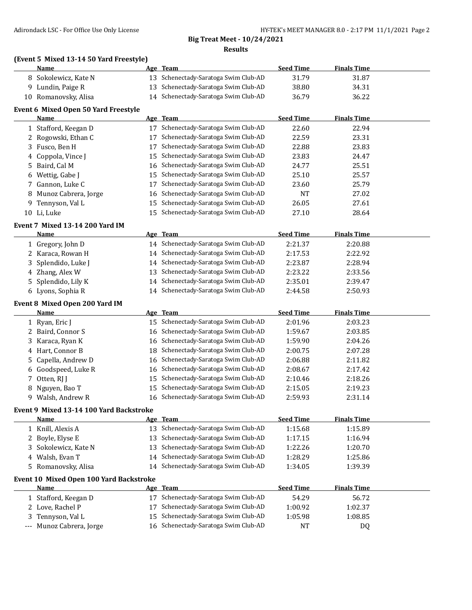## **Big Treat Meet - 10/24/2021 Results**

# **(Event 5 Mixed 13-14 50 Yard Freestyle)**

|   | Name                                    |          | Age Team                                                               | <b>Seed Time</b> | <b>Finals Time</b> |  |
|---|-----------------------------------------|----------|------------------------------------------------------------------------|------------------|--------------------|--|
|   | 8 Sokolewicz, Kate N                    |          | 13 Schenectady-Saratoga Swim Club-AD                                   | 31.79            | 31.87              |  |
|   | 9 Lundin, Paige R                       | 13       | Schenectady-Saratoga Swim Club-AD                                      | 38.80            | 34.31              |  |
|   | 10 Romanovsky, Alisa                    | 14       | Schenectady-Saratoga Swim Club-AD                                      | 36.79            | 36.22              |  |
|   | Event 6 Mixed Open 50 Yard Freestyle    |          |                                                                        |                  |                    |  |
|   | <b>Name</b>                             |          | Age Team                                                               | <b>Seed Time</b> | <b>Finals Time</b> |  |
|   | 1 Stafford, Keegan D                    |          | 17 Schenectady-Saratoga Swim Club-AD                                   | 22.60            | 22.94              |  |
|   | 2 Rogowski, Ethan C                     | 17       | Schenectady-Saratoga Swim Club-AD                                      | 22.59            | 23.31              |  |
|   | 3 Fusco, Ben H                          | 17       | Schenectady-Saratoga Swim Club-AD                                      | 22.88            | 23.83              |  |
|   | 4 Coppola, Vince J                      | 15       | Schenectady-Saratoga Swim Club-AD                                      | 23.83            | 24.47              |  |
| 5 | Baird, Cal M                            | 16       | Schenectady-Saratoga Swim Club-AD                                      | 24.77            | 25.51              |  |
| 6 | Wettig, Gabe J                          | 15       | Schenectady-Saratoga Swim Club-AD                                      | 25.10            | 25.57              |  |
| 7 | Gannon, Luke C                          | 17       | Schenectady-Saratoga Swim Club-AD                                      | 23.60            | 25.79              |  |
| 8 | Munoz Cabrera, Jorge                    | 16       | Schenectady-Saratoga Swim Club-AD                                      | <b>NT</b>        | 27.02              |  |
| 9 | Tennyson, Val L                         | 15       | Schenectady-Saratoga Swim Club-AD                                      | 26.05            | 27.61              |  |
|   | 10 Li, Luke                             | 15       | Schenectady-Saratoga Swim Club-AD                                      | 27.10            | 28.64              |  |
|   |                                         |          |                                                                        |                  |                    |  |
|   | Event 7 Mixed 13-14 200 Yard IM         |          |                                                                        |                  |                    |  |
|   | <b>Name</b>                             |          | Age Team                                                               | <b>Seed Time</b> | <b>Finals Time</b> |  |
|   | 1 Gregory, John D                       | 14       | Schenectady-Saratoga Swim Club-AD                                      | 2:21.37          | 2:20.88            |  |
|   | 2 Karaca, Rowan H                       | 14       | Schenectady-Saratoga Swim Club-AD                                      | 2:17.53          | 2:22.92            |  |
| 3 | Splendido, Luke J                       | 14       | Schenectady-Saratoga Swim Club-AD                                      | 2:23.87          | 2:28.94            |  |
|   | 4 Zhang, Alex W                         | 13       | Schenectady-Saratoga Swim Club-AD                                      | 2:23.22          | 2:33.56            |  |
| 5 | Splendido, Lily K                       | 14       | Schenectady-Saratoga Swim Club-AD                                      | 2:35.01          | 2:39.47            |  |
|   | 6 Lyons, Sophia R                       |          | 14 Schenectady-Saratoga Swim Club-AD                                   | 2:44.58          | 2:50.93            |  |
|   | Event 8 Mixed Open 200 Yard IM          |          |                                                                        |                  |                    |  |
|   |                                         |          |                                                                        |                  |                    |  |
|   | <b>Name</b>                             |          | Age Team                                                               | <b>Seed Time</b> | <b>Finals Time</b> |  |
|   | 1 Ryan, Eric J                          |          | 15 Schenectady-Saratoga Swim Club-AD                                   | 2:01.96          | 2:03.23            |  |
|   | 2 Baird, Connor S                       | 16       | Schenectady-Saratoga Swim Club-AD                                      | 1:59.67          | 2:03.85            |  |
| 3 | Karaca, Ryan K                          | 16       | Schenectady-Saratoga Swim Club-AD                                      | 1:59.90          | 2:04.26            |  |
|   | 4 Hart, Connor B                        | 18       | Schenectady-Saratoga Swim Club-AD                                      | 2:00.75          | 2:07.28            |  |
| 5 | Capella, Andrew D                       | 16       | Schenectady-Saratoga Swim Club-AD                                      | 2:06.88          | 2:11.82            |  |
|   | 6 Goodspeed, Luke R                     | 16       | Schenectady-Saratoga Swim Club-AD                                      | 2:08.67          | 2:17.42            |  |
| 7 | Otten, RJ J                             | 15       | Schenectady-Saratoga Swim Club-AD                                      | 2:10.46          | 2:18.26            |  |
|   | 8 Nguyen, Bao T                         | 15       | Schenectady-Saratoga Swim Club-AD                                      | 2:15.05          | 2:19.23            |  |
|   | 9 Walsh, Andrew R                       | 16       | Schenectady-Saratoga Swim Club-AD                                      | 2:59.93          | 2:31.14            |  |
|   |                                         |          |                                                                        |                  |                    |  |
|   | Event 9 Mixed 13-14 100 Yard Backstroke |          |                                                                        |                  |                    |  |
|   | <u>Name</u>                             |          | Age Team                                                               | <b>Seed Time</b> | <b>Finals Time</b> |  |
|   | 1 Knill, Alexis A                       |          | 13 Schenectady-Saratoga Swim Club-AD                                   | 1:15.68          | 1:15.89            |  |
|   | 2 Boyle, Elyse E                        | 13       | Schenectady-Saratoga Swim Club-AD                                      | 1:17.15          | 1:16.94            |  |
|   | 3 Sokolewicz, Kate N                    | 13       | Schenectady-Saratoga Swim Club-AD                                      | 1:22.26          | 1:20.70            |  |
|   | 4 Walsh, Evan T                         | 14       | Schenectady-Saratoga Swim Club-AD                                      | 1:28.29          | 1:25.86            |  |
|   | 5 Romanovsky, Alisa                     | 14       | Schenectady-Saratoga Swim Club-AD                                      | 1:34.05          | 1:39.39            |  |
|   | Event 10 Mixed Open 100 Yard Backstroke |          |                                                                        |                  |                    |  |
|   | <b>Name</b>                             |          | Age Team                                                               | <b>Seed Time</b> | <b>Finals Time</b> |  |
|   | 1 Stafford, Keegan D                    | 17       | Schenectady-Saratoga Swim Club-AD                                      | 54.29            | 56.72              |  |
|   | 2 Love, Rachel P                        | 17       | Schenectady-Saratoga Swim Club-AD                                      | 1:00.92          | 1:02.37            |  |
| 3 | Tennyson, Val L<br>Munoz Cabrera, Jorge | 15<br>16 | Schenectady-Saratoga Swim Club-AD<br>Schenectady-Saratoga Swim Club-AD | 1:05.98<br>NT    | 1:08.85<br>DQ      |  |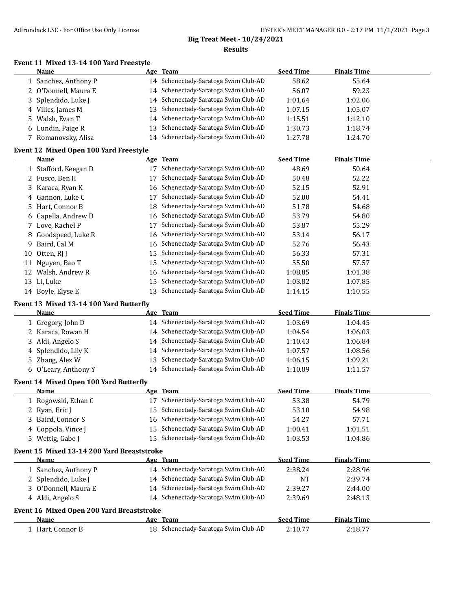# **Big Treat Meet - 10/24/2021**

**Results**

### **Event 11 Mixed 13-14 100 Yard Freestyle**

|    | Name                                       |    | Age Team                             | <b>Seed Time</b> | <b>Finals Time</b> |  |
|----|--------------------------------------------|----|--------------------------------------|------------------|--------------------|--|
|    | 1 Sanchez, Anthony P                       |    | 14 Schenectady-Saratoga Swim Club-AD | 58.62            | 55.64              |  |
|    | 2 O'Donnell, Maura E                       |    | 14 Schenectady-Saratoga Swim Club-AD | 56.07            | 59.23              |  |
| 3. | Splendido, Luke J                          | 14 | Schenectady-Saratoga Swim Club-AD    | 1:01.64          | 1:02.06            |  |
|    | 4 Vilics, James M                          | 13 | Schenectady-Saratoga Swim Club-AD    | 1:07.15          | 1:05.07            |  |
| 5. | Walsh, Evan T                              | 14 | Schenectady-Saratoga Swim Club-AD    | 1:15.51          | 1:12.10            |  |
|    | 6 Lundin, Paige R                          | 13 | Schenectady-Saratoga Swim Club-AD    | 1:30.73          | 1:18.74            |  |
|    | 7 Romanovsky, Alisa                        | 14 | Schenectady-Saratoga Swim Club-AD    | 1:27.78          | 1:24.70            |  |
|    |                                            |    |                                      |                  |                    |  |
|    | Event 12 Mixed Open 100 Yard Freestyle     |    |                                      |                  |                    |  |
|    | Name                                       |    | Age Team                             | <b>Seed Time</b> | <b>Finals Time</b> |  |
|    | 1 Stafford, Keegan D                       |    | 17 Schenectady-Saratoga Swim Club-AD | 48.69            | 50.64              |  |
|    | 2 Fusco, Ben H                             | 17 | Schenectady-Saratoga Swim Club-AD    | 50.48            | 52.22              |  |
| 3. | Karaca, Ryan K                             |    | 16 Schenectady-Saratoga Swim Club-AD | 52.15            | 52.91              |  |
| 4  | Gannon, Luke C                             | 17 | Schenectady-Saratoga Swim Club-AD    | 52.00            | 54.41              |  |
| 5. | Hart, Connor B                             | 18 | Schenectady-Saratoga Swim Club-AD    | 51.78            | 54.68              |  |
| 6  | Capella, Andrew D                          | 16 | Schenectady-Saratoga Swim Club-AD    | 53.79            | 54.80              |  |
|    | 7 Love, Rachel P                           | 17 | Schenectady-Saratoga Swim Club-AD    | 53.87            | 55.29              |  |
|    | 8 Goodspeed, Luke R                        | 16 | Schenectady-Saratoga Swim Club-AD    | 53.14            | 56.17              |  |
| 9  | Baird, Cal M                               | 16 | Schenectady-Saratoga Swim Club-AD    | 52.76            | 56.43              |  |
| 10 | Otten, RJ J                                | 15 | Schenectady-Saratoga Swim Club-AD    | 56.33            | 57.31              |  |
|    | 11 Nguyen, Bao T                           | 15 | Schenectady-Saratoga Swim Club-AD    | 55.50            | 57.57              |  |
|    | 12 Walsh, Andrew R                         | 16 | Schenectady-Saratoga Swim Club-AD    | 1:08.85          | 1:01.38            |  |
|    | 13 Li, Luke                                | 15 | Schenectady-Saratoga Swim Club-AD    | 1:03.82          | 1:07.85            |  |
|    | 14 Boyle, Elyse E                          | 13 | Schenectady-Saratoga Swim Club-AD    | 1:14.15          | 1:10.55            |  |
|    |                                            |    |                                      |                  |                    |  |
|    | Event 13 Mixed 13-14 100 Yard Butterfly    |    |                                      |                  |                    |  |
|    | Name                                       |    | Age Team                             | <b>Seed Time</b> | <b>Finals Time</b> |  |
|    | 1 Gregory, John D                          |    | 14 Schenectady-Saratoga Swim Club-AD | 1:03.69          | 1:04.45            |  |
|    | 2 Karaca, Rowan H                          |    | 14 Schenectady-Saratoga Swim Club-AD | 1:04.54          | 1:06.03            |  |
| 3  | Aldi, Angelo S                             |    | 14 Schenectady-Saratoga Swim Club-AD | 1:10.43          | 1:06.84            |  |
| 4  | Splendido, Lily K                          | 14 | Schenectady-Saratoga Swim Club-AD    | 1:07.57          | 1:08.56            |  |
|    | 5 Zhang, Alex W                            | 13 | Schenectady-Saratoga Swim Club-AD    | 1:06.15          | 1:09.21            |  |
|    | 6 O'Leary, Anthony Y                       |    | 14 Schenectady-Saratoga Swim Club-AD | 1:10.89          | 1:11.57            |  |
|    | Event 14 Mixed Open 100 Yard Butterfly     |    |                                      |                  |                    |  |
|    | Name                                       |    | Age Team                             | <b>Seed Time</b> | <b>Finals Time</b> |  |
|    | 1 Rogowski, Ethan C                        |    | 17 Schenectady-Saratoga Swim Club-AD | 53.38            | 54.79              |  |
|    | 2 Ryan, Eric J                             |    | 15 Schenectady-Saratoga Swim Club-AD | 53.10            | 54.98              |  |
|    | 3 Baird, Connor S                          |    | 16 Schenectady-Saratoga Swim Club-AD | 54.27            | 57.71              |  |
|    | 4 Coppola, Vince J                         | 15 | Schenectady-Saratoga Swim Club-AD    | 1:00.41          | 1:01.51            |  |
|    | 5 Wettig, Gabe J                           |    | 15 Schenectady-Saratoga Swim Club-AD | 1:03.53          | 1:04.86            |  |
|    |                                            |    |                                      |                  |                    |  |
|    | Event 15 Mixed 13-14 200 Yard Breaststroke |    |                                      |                  |                    |  |
|    | <b>Name</b>                                |    | Age Team                             | <b>Seed Time</b> | <b>Finals Time</b> |  |
|    | 1 Sanchez, Anthony P                       |    | 14 Schenectady-Saratoga Swim Club-AD | 2:38.24          | 2:28.96            |  |
|    | 2 Splendido, Luke J                        |    | 14 Schenectady-Saratoga Swim Club-AD | NT               | 2:39.74            |  |
|    | 3 O'Donnell, Maura E                       |    | 14 Schenectady-Saratoga Swim Club-AD | 2:39.27          | 2:44.00            |  |
|    | 4 Aldi, Angelo S                           |    | 14 Schenectady-Saratoga Swim Club-AD | 2:39.69          | 2:48.13            |  |
|    | Event 16 Mixed Open 200 Yard Breaststroke  |    |                                      |                  |                    |  |
|    | Name                                       |    | Age Team                             | <b>Seed Time</b> | <b>Finals Time</b> |  |
|    | 1 Hart, Connor B                           |    | 18 Schenectady-Saratoga Swim Club-AD | 2:10.77          | 2:18.77            |  |
|    |                                            |    |                                      |                  |                    |  |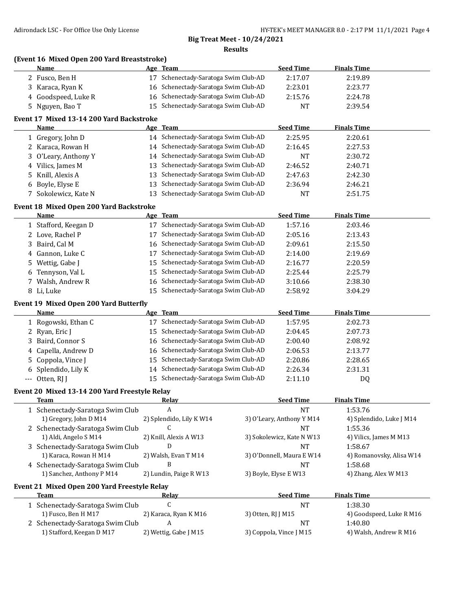$\overline{\phantom{0}}$ 

#### **Big Treat Meet - 10/24/2021 Results**

### **(Event 16 Mixed Open 200 Yard Breaststroke)**

| <b>Name</b>         | Age Team                             | <b>Seed Time</b> | <b>Finals Time</b> |  |
|---------------------|--------------------------------------|------------------|--------------------|--|
| 2 Fusco, Ben H      | 17 Schenectady-Saratoga Swim Club-AD | 2:17.07          | 2:19.89            |  |
| 3 Karaca, Ryan K    | 16 Schenectady-Saratoga Swim Club-AD | 2:23.01          | 2:23.77            |  |
| 4 Goodspeed, Luke R | 16 Schenectady-Saratoga Swim Club-AD | 2:15.76          | 2:24.78            |  |
| 5 Nguyen, Bao T     | 15 Schenectady-Saratoga Swim Club-AD | NT               | 2:39.54            |  |

### **Event 17 Mixed 13-14 200 Yard Backstroke**

| <b>Name</b>          | Age Team                             | <b>Seed Time</b> | <b>Finals Time</b> |  |
|----------------------|--------------------------------------|------------------|--------------------|--|
| 1 Gregory, John D    | 14 Schenectady-Saratoga Swim Club-AD | 2:25.95          | 2:20.61            |  |
| 2 Karaca, Rowan H    | 14 Schenectady-Saratoga Swim Club-AD | 2:16.45          | 2:27.53            |  |
| 3 O'Leary, Anthony Y | 14 Schenectady-Saratoga Swim Club-AD | NT               | 2:30.72            |  |
| 4 Vilics, James M    | 13 Schenectady-Saratoga Swim Club-AD | 2:46.52          | 2:40.71            |  |
| 5 Knill, Alexis A    | 13 Schenectady-Saratoga Swim Club-AD | 2:47.63          | 2:42.30            |  |
| 6 Boyle, Elyse E     | 13 Schenectady-Saratoga Swim Club-AD | 2:36.94          | 2:46.21            |  |
| 7 Sokolewicz, Kate N | 13 Schenectady-Saratoga Swim Club-AD | <b>NT</b>        | 2:51.75            |  |

#### **Event 18 Mixed Open 200 Yard Backstroke**

| Name                 | Age Team                                | <b>Seed Time</b> | <b>Finals Time</b> |  |
|----------------------|-----------------------------------------|------------------|--------------------|--|
| 1 Stafford, Keegan D | Schenectady-Saratoga Swim Club-AD<br>17 | 1:57.16          | 2:03.46            |  |
| 2 Love, Rachel P     | Schenectady-Saratoga Swim Club-AD<br>17 | 2:05.16          | 2:13.43            |  |
| 3 Baird, Cal M       | 16 Schenectady-Saratoga Swim Club-AD    | 2:09.61          | 2:15.50            |  |
| 4 Gannon, Luke C     | Schenectady-Saratoga Swim Club-AD       | 2:14.00          | 2:19.69            |  |
| 5 Wettig, Gabe J     | 15 Schenectady-Saratoga Swim Club-AD    | 2:16.77          | 2:20.59            |  |
| 6 Tennyson, Val L    | 15 Schenectady-Saratoga Swim Club-AD    | 2:25.44          | 2:25.79            |  |
| 7 Walsh, Andrew R    | 16 Schenectady-Saratoga Swim Club-AD    | 3:10.66          | 2:38.30            |  |
| 8 Li. Luke           | 15 Schenectady-Saratoga Swim Club-AD    | 2:58.92          | 3:04.29            |  |

#### **Event 19 Mixed Open 200 Yard Butterfly**

| Name                |    | Age Team                             | <b>Seed Time</b> | <b>Finals Time</b> |  |
|---------------------|----|--------------------------------------|------------------|--------------------|--|
| 1 Rogowski, Ethan C |    | Schenectady-Saratoga Swim Club-AD    | 1:57.95          | 2:02.73            |  |
| 2 Ryan, Eric J      |    | 15 Schenectady-Saratoga Swim Club-AD | 2:04.45          | 2:07.73            |  |
| 3 Baird, Connor S   |    | 16 Schenectady-Saratoga Swim Club-AD | 2:00.40          | 2:08.92            |  |
| 4 Capella, Andrew D |    | 16 Schenectady-Saratoga Swim Club-AD | 2:06.53          | 2:13.77            |  |
| 5 Coppola, Vince J  |    | 15 Schenectady-Saratoga Swim Club-AD | 2:20.86          | 2:28.65            |  |
| 6 Splendido, Lily K | 14 | Schenectady-Saratoga Swim Club-AD    | 2:26.34          | 2:31.31            |  |
| $-$ Otten, RI I     |    | Schenectady-Saratoga Swim Club-AD    | 2:11.10          | D <sub>0</sub>     |  |

### **Event 20 Mixed 13-14 200 Yard Freestyle Relay**

| Team                             | Relay                    | <b>Seed Time</b>          | <b>Finals Time</b>       |
|----------------------------------|--------------------------|---------------------------|--------------------------|
| 1 Schenectady-Saratoga Swim Club | А                        | NΤ                        | 1:53.76                  |
| 1) Gregory, John D M14           | 2) Splendido, Lily K W14 | 3) O'Leary, Anthony Y M14 | 4) Splendido, Luke J M14 |
| 2 Schenectady-Saratoga Swim Club |                          | NT                        | 1:55.36                  |
| 1) Aldi, Angelo S M14            | 2) Knill, Alexis A W13   | 3) Sokolewicz, Kate N W13 | 4) Vilics, James M M13   |
| 3 Schenectady-Saratoga Swim Club |                          | NT                        | 1:58.67                  |
| 1) Karaca, Rowan H M14           | 2) Walsh, Evan T M14     | 3) O'Donnell, Maura E W14 | 4) Romanovsky, Alisa W14 |
| 4 Schenectady-Saratoga Swim Club | В                        | NT                        | 1:58.68                  |
| 1) Sanchez, Anthony P M14        | 2) Lundin, Paige R W13   | 3) Boyle, Elyse E W13     | 4) Zhang, Alex W M13     |
|                                  |                          |                           |                          |

#### **Event 21 Mixed Open 200 Yard Freestyle Relay**

| Team                             | Relav                 | <b>Seed Time</b>        | <b>Finals Time</b>       |
|----------------------------------|-----------------------|-------------------------|--------------------------|
| 1 Schenectady-Saratoga Swim Club |                       | NT                      | 1:38.30                  |
| 1) Fusco, Ben H M17              | 2) Karaca, Ryan K M16 | 3) Otten, RJ J M15      | 4) Goodspeed, Luke R M16 |
| 2 Schenectady-Saratoga Swim Club |                       | NT                      | 1:40.80                  |
| 1) Stafford, Keegan D M17        | 2) Wettig, Gabe J M15 | 3) Coppola, Vince J M15 | 4) Walsh, Andrew R M16   |